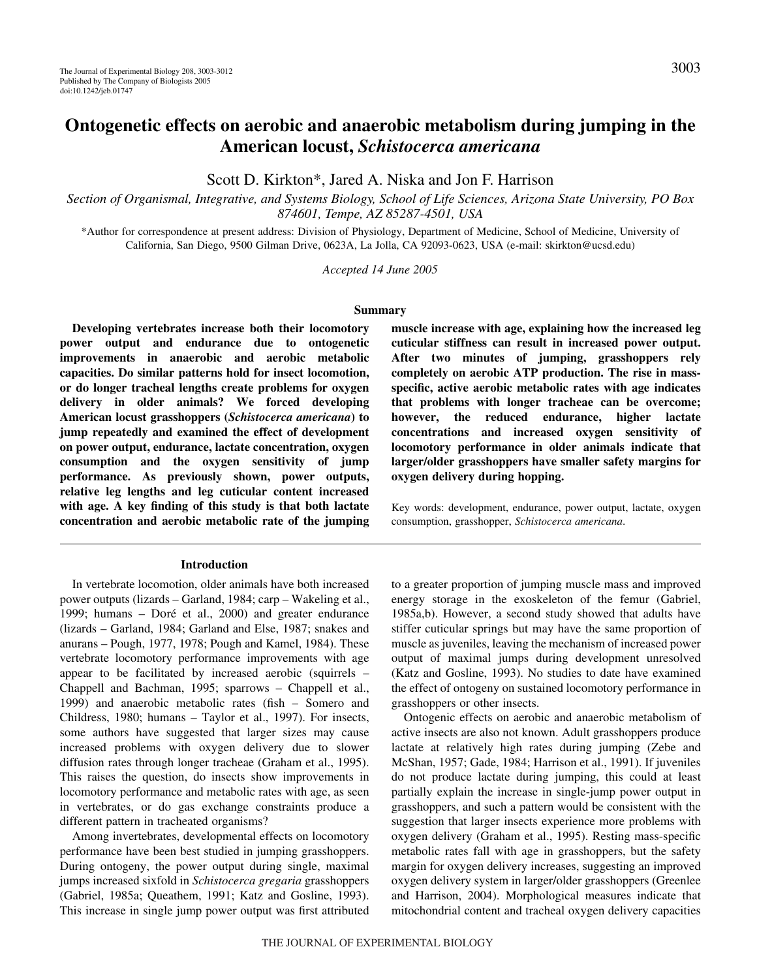# **Ontogenetic effects on aerobic and anaerobic metabolism during jumping in the American locust,** *Schistocerca americana*

Scott D. Kirkton\*, Jared A. Niska and Jon F. Harrison

*Section of Organismal, Integrative, and Systems Biology, School of Life Sciences, Arizona State University, PO Box 874601, Tempe, AZ 85287-4501, USA*

\*Author for correspondence at present address: Division of Physiology, Department of Medicine, School of Medicine, University of California, San Diego, 9500 Gilman Drive, 0623A, La Jolla, CA 92093-0623, USA (e-mail: skirkton@ucsd.edu)

*Accepted 14 June 2005*

#### **Summary**

**Developing vertebrates increase both their locomotory power output and endurance due to ontogenetic improvements in anaerobic and aerobic metabolic capacities. Do similar patterns hold for insect locomotion, or do longer tracheal lengths create problems for oxygen delivery in older animals? We forced developing American locust grasshoppers (***Schistocerca americana***) to jump repeatedly and examined the effect of development on power output, endurance, lactate concentration, oxygen consumption and the oxygen sensitivity of jump performance. As previously shown, power outputs, relative leg lengths and leg cuticular content increased with age. A key finding of this study is that both lactate concentration and aerobic metabolic rate of the jumping**

#### **Introduction**

In vertebrate locomotion, older animals have both increased power outputs (lizards – Garland, 1984; carp – Wakeling et al., 1999; humans – Dοré et al., 2000) and greater endurance (lizards – Garland, 1984; Garland and Else, 1987; snakes and anurans – Pough, 1977, 1978; Pough and Kamel, 1984). These vertebrate locomotory performance improvements with age appear to be facilitated by increased aerobic (squirrels – Chappell and Bachman, 1995; sparrows – Chappell et al., 1999) and anaerobic metabolic rates (fish – Somero and Childress, 1980; humans – Taylor et al., 1997). For insects, some authors have suggested that larger sizes may cause increased problems with oxygen delivery due to slower diffusion rates through longer tracheae (Graham et al., 1995). This raises the question, do insects show improvements in locomotory performance and metabolic rates with age, as seen in vertebrates, or do gas exchange constraints produce a different pattern in tracheated organisms?

Among invertebrates, developmental effects on locomotory performance have been best studied in jumping grasshoppers. During ontogeny, the power output during single, maximal jumps increased sixfold in *Schistocerca gregaria* grasshoppers (Gabriel, 1985a; Queathem, 1991; Katz and Gosline, 1993). This increase in single jump power output was first attributed

**muscle increase with age, explaining how the increased leg cuticular stiffness can result in increased power output. After two minutes of jumping, grasshoppers rely completely on aerobic ATP production. The rise in massspecific, active aerobic metabolic rates with age indicates that problems with longer tracheae can be overcome; however, the reduced endurance, higher lactate concentrations and increased oxygen sensitivity of locomotory performance in older animals indicate that larger/older grasshoppers have smaller safety margins for oxygen delivery during hopping.**

Key words: development, endurance, power output, lactate, oxygen consumption, grasshopper, *Schistocerca americana*.

to a greater proportion of jumping muscle mass and improved energy storage in the exoskeleton of the femur (Gabriel, 1985a,b). However, a second study showed that adults have stiffer cuticular springs but may have the same proportion of muscle as juveniles, leaving the mechanism of increased power output of maximal jumps during development unresolved (Katz and Gosline, 1993). No studies to date have examined the effect of ontogeny on sustained locomotory performance in grasshoppers or other insects.

Ontogenic effects on aerobic and anaerobic metabolism of active insects are also not known. Adult grasshoppers produce lactate at relatively high rates during jumping (Zebe and McShan, 1957; Gade, 1984; Harrison et al., 1991). If juveniles do not produce lactate during jumping, this could at least partially explain the increase in single-jump power output in grasshoppers, and such a pattern would be consistent with the suggestion that larger insects experience more problems with oxygen delivery (Graham et al., 1995). Resting mass-specific metabolic rates fall with age in grasshoppers, but the safety margin for oxygen delivery increases, suggesting an improved oxygen delivery system in larger/older grasshoppers (Greenlee and Harrison, 2004). Morphological measures indicate that mitochondrial content and tracheal oxygen delivery capacities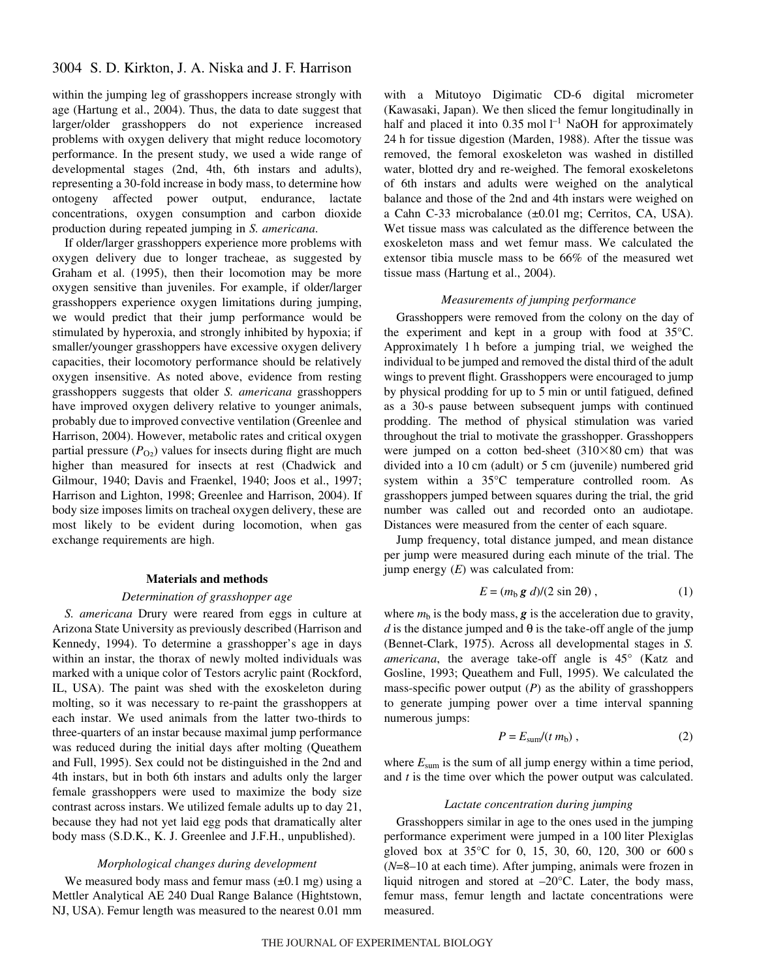within the jumping leg of grasshoppers increase strongly with age (Hartung et al., 2004). Thus, the data to date suggest that larger/older grasshoppers do not experience increased problems with oxygen delivery that might reduce locomotory performance. In the present study, we used a wide range of developmental stages (2nd, 4th, 6th instars and adults), representing a 30-fold increase in body mass, to determine how ontogeny affected power output, endurance, lactate concentrations, oxygen consumption and carbon dioxide production during repeated jumping in *S. americana*.

If older/larger grasshoppers experience more problems with oxygen delivery due to longer tracheae, as suggested by Graham et al. (1995), then their locomotion may be more oxygen sensitive than juveniles. For example, if older/larger grasshoppers experience oxygen limitations during jumping, we would predict that their jump performance would be stimulated by hyperoxia, and strongly inhibited by hypoxia; if smaller/younger grasshoppers have excessive oxygen delivery capacities, their locomotory performance should be relatively oxygen insensitive. As noted above, evidence from resting grasshoppers suggests that older *S. americana* grasshoppers have improved oxygen delivery relative to younger animals, probably due to improved convective ventilation (Greenlee and Harrison, 2004). However, metabolic rates and critical oxygen partial pressure  $(P<sub>O2</sub>)$  values for insects during flight are much higher than measured for insects at rest (Chadwick and Gilmour, 1940; Davis and Fraenkel, 1940; Joos et al., 1997; Harrison and Lighton, 1998; Greenlee and Harrison, 2004). If body size imposes limits on tracheal oxygen delivery, these are most likely to be evident during locomotion, when gas exchange requirements are high.

#### **Materials and methods**

### *Determination of grasshopper age*

*S. americana* Drury were reared from eggs in culture at Arizona State University as previously described (Harrison and Kennedy, 1994). To determine a grasshopper's age in days within an instar, the thorax of newly molted individuals was marked with a unique color of Testors acrylic paint (Rockford, IL, USA). The paint was shed with the exoskeleton during molting, so it was necessary to re-paint the grasshoppers at each instar. We used animals from the latter two-thirds to three-quarters of an instar because maximal jump performance was reduced during the initial days after molting (Queathem and Full, 1995). Sex could not be distinguished in the 2nd and 4th instars, but in both 6th instars and adults only the larger female grasshoppers were used to maximize the body size contrast across instars. We utilized female adults up to day 21, because they had not yet laid egg pods that dramatically alter body mass (S.D.K., K. J. Greenlee and J.F.H., unpublished).

### *Morphological changes during development*

We measured body mass and femur mass  $(\pm 0.1 \text{ mg})$  using a Mettler Analytical AE 240 Dual Range Balance (Hightstown, NJ, USA). Femur length was measured to the nearest 0.01 mm with a Mitutoyo Digimatic CD-6 digital micrometer (Kawasaki, Japan). We then sliced the femur longitudinally in half and placed it into  $0.35 \text{ mol } l^{-1}$  NaOH for approximately 24 h for tissue digestion (Marden, 1988). After the tissue was removed, the femoral exoskeleton was washed in distilled water, blotted dry and re-weighed. The femoral exoskeletons of 6th instars and adults were weighed on the analytical balance and those of the 2nd and 4th instars were weighed on a Cahn C-33 microbalance  $(\pm 0.01$  mg; Cerritos, CA, USA). Wet tissue mass was calculated as the difference between the exoskeleton mass and wet femur mass. We calculated the extensor tibia muscle mass to be 66% of the measured wet tissue mass (Hartung et al., 2004).

#### *Measurements of jumping performance*

Grasshoppers were removed from the colony on the day of the experiment and kept in a group with food at 35°C. Approximately 1 h before a jumping trial, we weighed the individual to be jumped and removed the distal third of the adult wings to prevent flight. Grasshoppers were encouraged to jump by physical prodding for up to 5 min or until fatigued, defined as a 30-s pause between subsequent jumps with continued prodding. The method of physical stimulation was varied throughout the trial to motivate the grasshopper. Grasshoppers were jumped on a cotton bed-sheet  $(310\times80 \text{ cm})$  that was divided into a 10 cm (adult) or 5 cm (juvenile) numbered grid system within a 35°C temperature controlled room. As grasshoppers jumped between squares during the trial, the grid number was called out and recorded onto an audiotape. Distances were measured from the center of each square.

Jump frequency, total distance jumped, and mean distance per jump were measured during each minute of the trial. The jump energy (*E*) was calculated from:

$$
E = (m_b g \, d)/(2 \sin 2\theta) \,, \tag{1}
$$

where  $m_b$  is the body mass,  $g$  is the acceleration due to gravity, *d* is the distance jumped and  $\theta$  is the take-off angle of the jump (Bennet-Clark, 1975). Across all developmental stages in *S. americana*, the average take-off angle is 45° (Katz and Gosline, 1993; Queathem and Full, 1995). We calculated the mass-specific power output  $(P)$  as the ability of grasshoppers to generate jumping power over a time interval spanning numerous jumps:

$$
P = E_{\text{sum}}/(t \, m_{\text{b}}) \,, \tag{2}
$$

where  $E_{sum}$  is the sum of all jump energy within a time period, and *t* is the time over which the power output was calculated.

### *Lactate concentration during jumping*

Grasshoppers similar in age to the ones used in the jumping performance experiment were jumped in a 100 liter Plexiglas gloved box at  $35^{\circ}$ C for 0, 15, 30, 60, 120, 300 or 600 s (*N*=8–10 at each time). After jumping, animals were frozen in liquid nitrogen and stored at –20°C. Later, the body mass, femur mass, femur length and lactate concentrations were measured.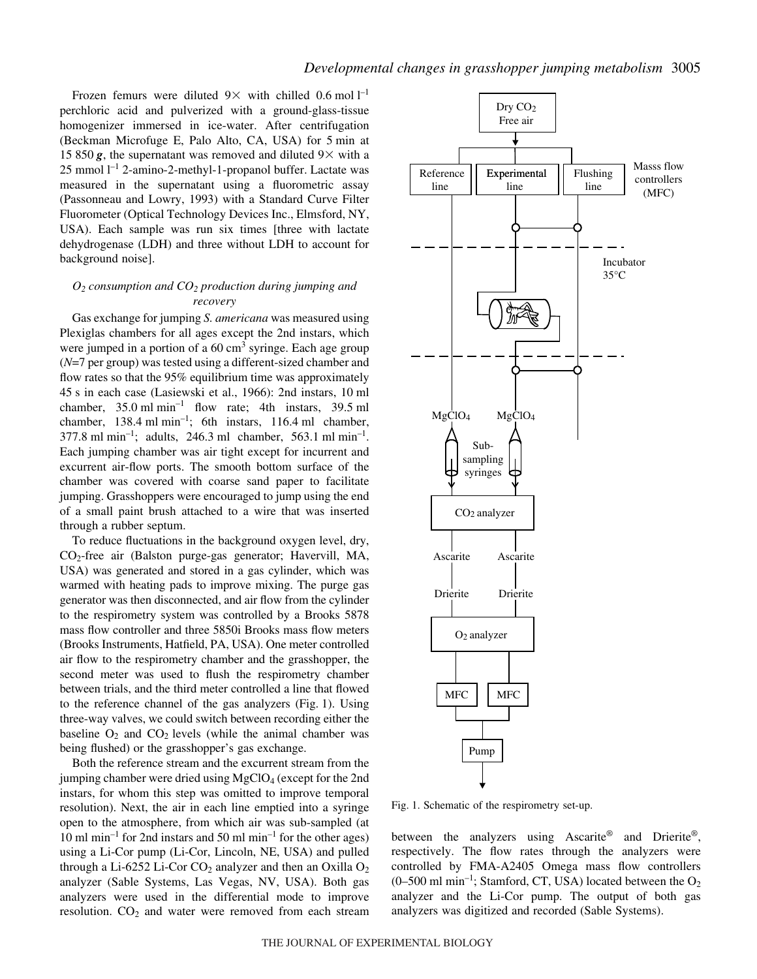Frozen femurs were diluted  $9 \times$  with chilled 0.6 mol  $1^{-1}$ perchloric acid and pulverized with a ground-glass-tissue homogenizer immersed in ice-water. After centrifugation (Beckman Microfuge E, Palo Alto, CA, USA) for 5 min at 15 850  $g$ , the supernatant was removed and diluted  $9\times$  with a  $25$  mmol  $l^{-1}$  2-amino-2-methyl-1-propanol buffer. Lactate was measured in the supernatant using a fluorometric assay (Passonneau and Lowry, 1993) with a Standard Curve Filter Fluorometer (Optical Technology Devices Inc., Elmsford, NY, USA). Each sample was run six times [three with lactate dehydrogenase (LDH) and three without LDH to account for background noise].

# *O2 consumption and CO2 production during jumping and recovery*

Gas exchange for jumping *S. americana* was measured using Plexiglas chambers for all ages except the 2nd instars, which were jumped in a portion of a  $60 \text{ cm}^3$  syringe. Each age group (*N*=7 per group) was tested using a different-sized chamber and flow rates so that the 95% equilibrium time was approximately 45 s in each case (Lasiewski et al., 1966): 2nd instars, 10 ml chamber,  $35.0 \text{ ml} \text{min}^{-1}$  flow rate; 4th instars,  $39.5 \text{ ml}$ chamber,  $138.4 \text{ ml min}^{-1}$ ; 6th instars,  $116.4 \text{ ml}$  chamber,  $377.8 \text{ ml min}^{-1}$ ; adults, 246.3 ml chamber, 563.1 ml min<sup>-1</sup>. Each jumping chamber was air tight except for incurrent and excurrent air-flow ports. The smooth bottom surface of the chamber was covered with coarse sand paper to facilitate jumping. Grasshoppers were encouraged to jump using the end of a small paint brush attached to a wire that was inserted through a rubber septum.

To reduce fluctuations in the background oxygen level, dry, CO2-free air (Balston purge-gas generator; Havervill, MA, USA) was generated and stored in a gas cylinder, which was warmed with heating pads to improve mixing. The purge gas generator was then disconnected, and air flow from the cylinder to the respirometry system was controlled by a Brooks 5878 mass flow controller and three 5850i Brooks mass flow meters (Brooks Instruments, Hatfield, PA, USA). One meter controlled air flow to the respirometry chamber and the grasshopper, the second meter was used to flush the respirometry chamber between trials, and the third meter controlled a line that flowed to the reference channel of the gas analyzers (Fig. 1). Using three-way valves, we could switch between recording either the baseline  $O_2$  and  $CO_2$  levels (while the animal chamber was being flushed) or the grasshopper's gas exchange.

Both the reference stream and the excurrent stream from the jumping chamber were dried using  $MgClO<sub>4</sub>$  (except for the 2nd instars, for whom this step was omitted to improve temporal resolution). Next, the air in each line emptied into a syringe open to the atmosphere, from which air was sub-sampled (at 10 ml min<sup>-1</sup> for 2nd instars and 50 ml min<sup>-1</sup> for the other ages) using a Li-Cor pump (Li-Cor, Lincoln, NE, USA) and pulled through a Li-6252 Li-Cor  $CO_2$  analyzer and then an Oxilla  $O_2$ analyzer (Sable Systems, Las Vegas, NV, USA). Both gas analyzers were used in the differential mode to improve resolution.  $CO<sub>2</sub>$  and water were removed from each stream



Fig. 1. Schematic of the respirometry set-up.

between the analyzers using Ascarite® and Drierite®, respectively. The flow rates through the analyzers were controlled by FMA-A2405 Omega mass flow controllers  $(0-500 \text{ ml min}^{-1}$ ; Stamford, CT, USA) located between the O<sub>2</sub> analyzer and the Li-Cor pump. The output of both gas analyzers was digitized and recorded (Sable Systems).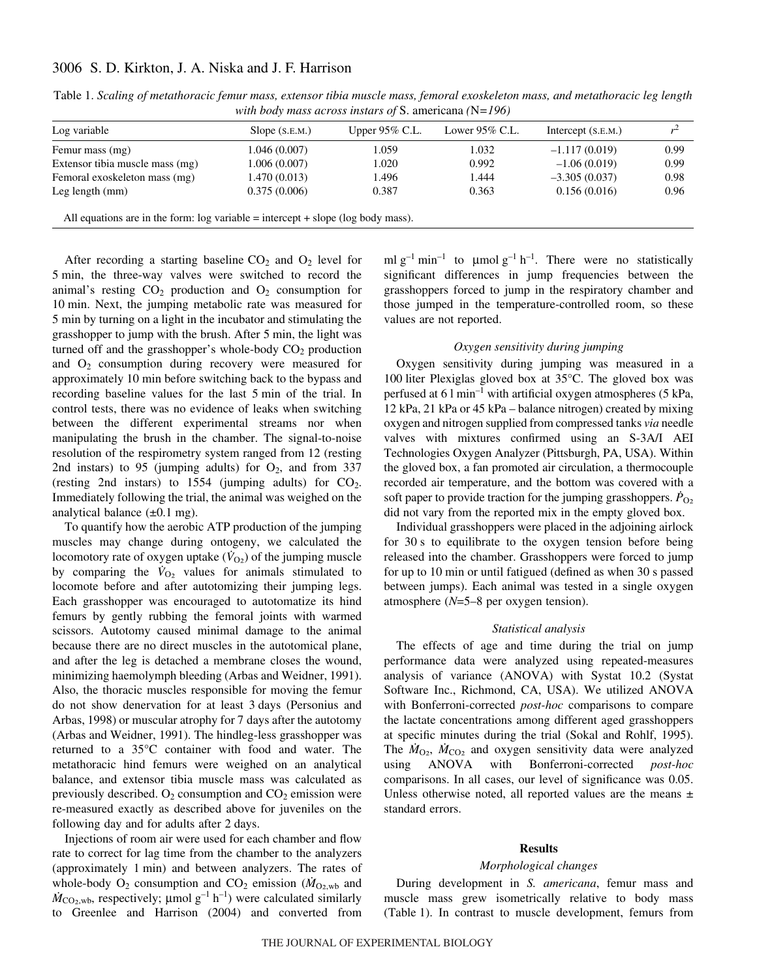# 3006 S. D. Kirkton, J. A. Niska and J. F. Harrison

| Log variable                                                                          | Slope $(S.E.M.)$ | Upper $95\%$ C.L. | Lower $95\%$ C.L. | Intercept $(S.E.M.)$ |      |
|---------------------------------------------------------------------------------------|------------------|-------------------|-------------------|----------------------|------|
|                                                                                       |                  |                   |                   |                      |      |
| Femur mass (mg)                                                                       | 1.046 (0.007)    | 1.059             | 1.032             | $-1.117(0.019)$      | 0.99 |
| Extensor tibia muscle mass (mg)                                                       | 1.006(0.007)     | 1.020             | 0.992             | $-1.06(0.019)$       | 0.99 |
| Femoral exoskeleton mass (mg)                                                         | 1.470(0.013)     | 1.496             | 1.444             | $-3.305(0.037)$      | 0.98 |
| Leg length $(mm)$                                                                     | 0.375(0.006)     | 0.387             | 0.363             | 0.156(0.016)         | 0.96 |
|                                                                                       |                  |                   |                   |                      |      |
| All equations are in the form: $log$ variable = intercept + slope ( $log$ body mass). |                  |                   |                   |                      |      |

Table 1. Scaling of metathoracic femur mass, extensor tibia muscle mass, femoral exoskeleton mass, and metathoracic leg length *with body mass across instars of* S. americana *(*N*=196)*

After recording a starting baseline  $CO<sub>2</sub>$  and  $O<sub>2</sub>$  level for 5 min, the three-way valves were switched to record the animal's resting  $CO<sub>2</sub>$  production and  $O<sub>2</sub>$  consumption for 10 min. Next, the jumping metabolic rate was measured for 5 min by turning on a light in the incubator and stimulating the grasshopper to jump with the brush. After 5 min, the light was turned off and the grasshopper's whole-body  $CO<sub>2</sub>$  production and  $O_2$  consumption during recovery were measured for approximately 10 min before switching back to the bypass and recording baseline values for the last 5 min of the trial. In control tests, there was no evidence of leaks when switching between the different experimental streams nor when manipulating the brush in the chamber. The signal-to-noise resolution of the respirometry system ranged from 12 (resting 2nd instars) to 95 (jumping adults) for  $O_2$ , and from 337 (resting 2nd instars) to  $1554$  (jumping adults) for  $CO<sub>2</sub>$ . Immediately following the trial, the animal was weighed on the analytical balance  $(\pm 0.1 \text{ mg})$ .

To quantify how the aerobic ATP production of the jumping muscles may change during ontogeny, we calculated the locomotory rate of oxygen uptake ( $\dot{V}_{O<sub>2</sub>}$ ) of the jumping muscle by comparing the  $\dot{V}_{\text{O}_2}$  values for animals stimulated to locomote before and after autotomizing their jumping legs. Each grasshopper was encouraged to autotomatize its hind femurs by gently rubbing the femoral joints with warmed scissors. Autotomy caused minimal damage to the animal because there are no direct muscles in the autotomical plane, and after the leg is detached a membrane closes the wound, minimizing haemolymph bleeding (Arbas and Weidner, 1991). Also, the thoracic muscles responsible for moving the femur do not show denervation for at least 3·days (Personius and Arbas, 1998) or muscular atrophy for 7 days after the autotomy (Arbas and Weidner, 1991). The hindleg-less grasshopper was returned to a 35°C container with food and water. The metathoracic hind femurs were weighed on an analytical balance, and extensor tibia muscle mass was calculated as previously described.  $O_2$  consumption and  $CO_2$  emission were re-measured exactly as described above for juveniles on the following day and for adults after 2 days.

Injections of room air were used for each chamber and flow rate to correct for lag time from the chamber to the analyzers (approximately 1 min) and between analyzers. The rates of whole-body  $O_2$  consumption and  $CO_2$  emission ( $\dot{M}_{O_2,wb}$  and  $\dot{M}_{\text{CO}_2,\text{wb}}$ , respectively;  $\mu$ mol g<sup>-1</sup> h<sup>-1</sup>) were calculated similarly to Greenlee and Harrison (2004) and converted from

ml  $g^{-1}$  min<sup>-1</sup> to  $\mu$ mol  $g^{-1}$  h<sup>-1</sup>. There were no statistically significant differences in jump frequencies between the grasshoppers forced to jump in the respiratory chamber and those jumped in the temperature-controlled room, so these values are not reported.

### *Oxygen sensitivity during jumping*

Oxygen sensitivity during jumping was measured in a 100 liter Plexiglas gloved box at  $35^{\circ}$ C. The gloved box was perfused at  $61$  min<sup>-1</sup> with artificial oxygen atmospheres (5 kPa, 12 kPa, 21 kPa or 45 kPa – balance nitrogen) created by mixing oxygen and nitrogen supplied from compressed tanks *via* needle valves with mixtures confirmed using an S-3A/I AEI Technologies Oxygen Analyzer (Pittsburgh, PA, USA). Within the gloved box, a fan promoted air circulation, a thermocouple recorded air temperature, and the bottom was covered with a soft paper to provide traction for the jumping grasshoppers.  $\dot{P}_{\text{O}_2}$ did not vary from the reported mix in the empty gloved box.

Individual grasshoppers were placed in the adjoining airlock for 30 s to equilibrate to the oxygen tension before being released into the chamber. Grasshoppers were forced to jump for up to 10 min or until fatigued (defined as when 30 s passed between jumps). Each animal was tested in a single oxygen atmosphere (*N*=5–8 per oxygen tension).

#### *Statistical analysis*

The effects of age and time during the trial on jump performance data were analyzed using repeated-measures analysis of variance (ANOVA) with Systat 10.2 (Systat Software Inc., Richmond, CA, USA). We utilized ANOVA with Bonferroni-corrected *post-hoc* comparisons to compare the lactate concentrations among different aged grasshoppers at specific minutes during the trial (Sokal and Rohlf, 1995). The  $M_{\text{O}_2}$ ,  $\dot{M}_{\text{CO}_2}$  and oxygen sensitivity data were analyzed using ANOVA with Bonferroni-corrected *post-hoc* comparisons. In all cases, our level of significance was 0.05. Unless otherwise noted, all reported values are the means  $\pm$ standard errors.

#### **Results**

#### *Morphological changes*

During development in *S. americana*, femur mass and muscle mass grew isometrically relative to body mass (Table·1). In contrast to muscle development, femurs from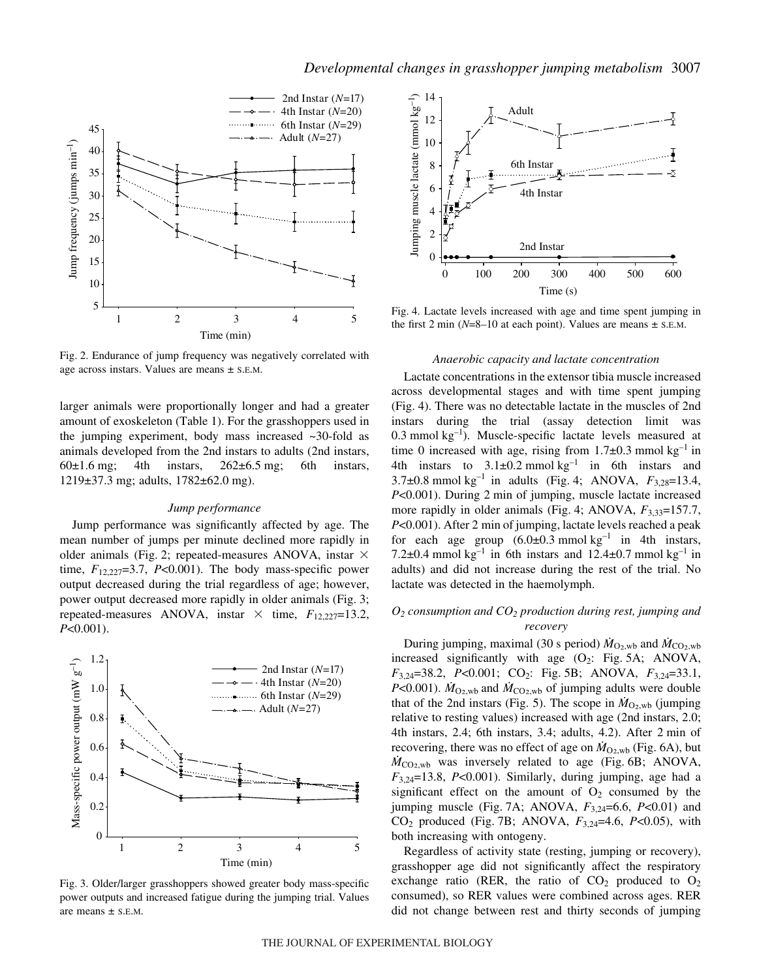

Fig. 2. Endurance of jump frequency was negatively correlated with age across instars. Values are means ± S.E.M.

larger animals were proportionally longer and had a greater amount of exoskeleton (Table 1). For the grasshoppers used in the jumping experiment, body mass increased  $\sim$ 30-fold as animals developed from the 2nd instars to adults (2nd instars,  $60\pm1.6$  mg; 4th instars,  $262\pm6.5$  mg; 6th instars, 1219±37.3 mg; adults, 1782±62.0 mg).

#### *Jump performance*

Jump performance was significantly affected by age. The mean number of jumps per minute declined more rapidly in older animals (Fig. 2; repeated-measures ANOVA, instar  $\times$ time,  $F_{12,227}=3.7$ ,  $P<0.001$ ). The body mass-specific power output decreased during the trial regardless of age; however, power output decreased more rapidly in older animals (Fig. 3; repeated-measures ANOVA, instar  $\times$  time,  $F_{12,227}=13.2$ , *P*<0.001).



Fig. 3. Older/larger grasshoppers showed greater body mass-specific power outputs and increased fatigue during the jumping trial. Values



Fig. 4. Lactate levels increased with age and time spent jumping in the first 2 min ( $N=8-10$  at each point). Values are means  $\pm$  s.e.m.

### *Anaerobic capacity and lactate concentration*

Lactate concentrations in the extensor tibia muscle increased across developmental stages and with time spent jumping (Fig. 4). There was no detectable lactate in the muscles of 2nd instars during the trial (assay detection limit was 0.3 mmol  $kg^{-1}$ ). Muscle-specific lactate levels measured at time 0 increased with age, rising from  $1.7\pm0.3$  mmol kg<sup>-1</sup> in 4th instars to  $3.1\pm0.2$  mmol kg<sup>-1</sup> in 6th instars and 3.7 $\pm$ 0.8 mmol kg<sup>-1</sup> in adults (Fig. 4; ANOVA,  $F_{3,28}=13.4$ , *P*<0.001). During 2 min of jumping, muscle lactate increased more rapidly in older animals (Fig. 4; ANOVA,  $F_{3,33}=157.7$ , *P*<0.001). After 2 min of jumping, lactate levels reached a peak for each age group  $(6.0\pm0.3 \text{ mmol kg}^{-1})$  in 4th instars, 7.2 $\pm$ 0.4 mmol kg<sup>-1</sup> in 6th instars and 12.4 $\pm$ 0.7 mmol kg<sup>-1</sup> in adults) and did not increase during the rest of the trial. No lactate was detected in the haemolymph.

# *O2 consumption and CO2 production during rest, jumping and recovery*

During jumping, maximal (30 s period)  $\dot{M}_{\text{O}_2,\text{wb}}$  and  $\dot{M}_{\text{CO}_2,\text{wb}}$ increased significantly with age  $(O_2$ : Fig. 5A; ANOVA, *F*<sub>3,24</sub>=38.2, *P*<0.001; CO<sub>2</sub>: Fig. 5B; ANOVA, *F*<sub>3,24</sub>=33.1, *P*<0.001).  $\dot{M}_{\text{O}_2,\text{wb}}$  and  $\dot{M}_{\text{CO}_2,\text{wb}}$  of jumping adults were double that of the 2nd instars (Fig. 5). The scope in  $\dot{M}_{\text{O}_2,\text{wb}}$  (jumping relative to resting values) increased with age (2nd instars, 2.0; 4th instars, 2.4; 6th instars, 3.4; adults, 4.2). After 2 min of recovering, there was no effect of age on  $\dot{M}_{\text{O}_2,\text{wb}}$  (Fig. 6A), but  $\dot{M}_{\text{CO}_2,\text{wb}}$  was inversely related to age (Fig. 6B; ANOVA,  $F_{3,24}=13.8$ , *P*<0.001). Similarly, during jumping, age had a significant effect on the amount of  $O_2$  consumed by the jumping muscle (Fig. 7A; ANOVA,  $F_{3,24}$ =6.6, *P*<0.01) and  $CO_2$  produced (Fig. 7B; ANOVA,  $F_{3,24}$ =4.6,  $P<0.05$ ), with both increasing with ontogeny.

Regardless of activity state (resting, jumping or recovery), grasshopper age did not significantly affect the respiratory exchange ratio (RER, the ratio of  $CO<sub>2</sub>$  produced to  $O<sub>2</sub>$ consumed), so RER values were combined across ages. RER did not change between rest and thirty seconds of jumping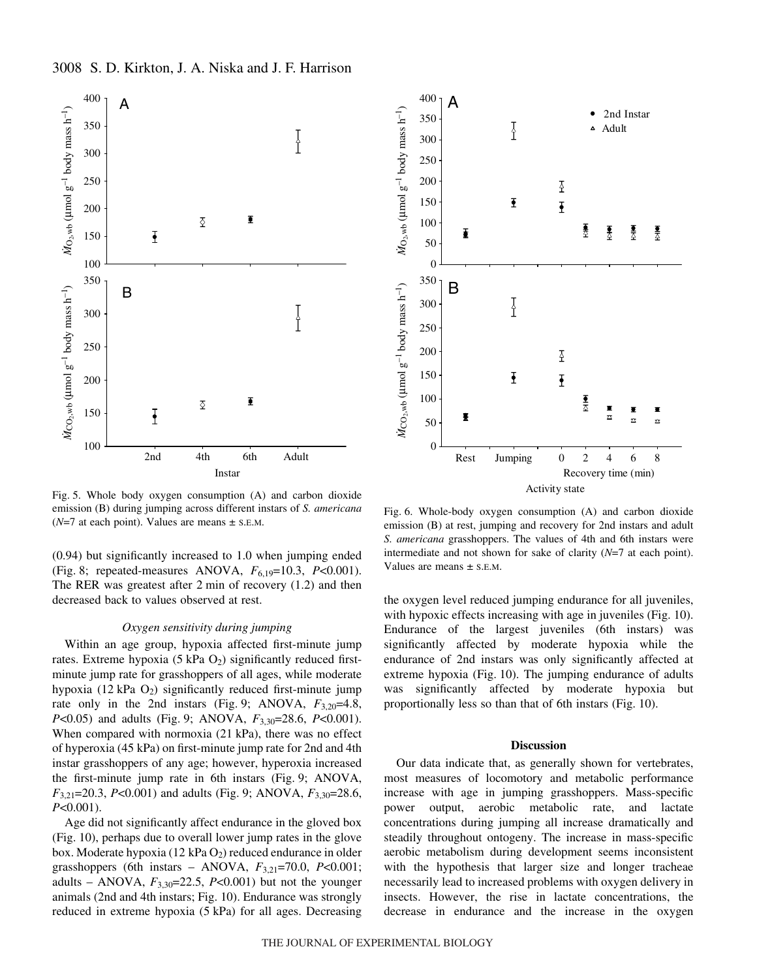# 3008 S. D. Kirkton, J. A. Niska and J. F. Harrison



Fig. 5. Whole body oxygen consumption (A) and carbon dioxide emission (B) during jumping across different instars of *S. americana*  $(N=7$  at each point). Values are means  $\pm$  s.e.m.

(0.94) but significantly increased to 1.0 when jumping ended (Fig. 8; repeated-measures ANOVA,  $F_{6,19}$ =10.3, *P*<0.001). The RER was greatest after  $2 \text{ min}$  of recovery  $(1.2)$  and then decreased back to values observed at rest.

#### *Oxygen sensitivity during jumping*

Within an age group, hypoxia affected first-minute jump rates. Extreme hypoxia (5 kPa  $O_2$ ) significantly reduced firstminute jump rate for grasshoppers of all ages, while moderate hypoxia (12 kPa  $O_2$ ) significantly reduced first-minute jump rate only in the 2nd instars (Fig. 9; ANOVA,  $F_{3,20}$ =4.8, *P*<0.05) and adults (Fig. 9; ANOVA,  $F_{3,30}$ =28.6, *P*<0.001). When compared with normoxia  $(21$  kPa), there was no effect of hyperoxia (45·kPa) on first-minute jump rate for 2nd and 4th instar grasshoppers of any age; however, hyperoxia increased the first-minute jump rate in 6th instars (Fig. 9; ANOVA, *F*<sub>3,21</sub>=20.3, *P*<0.001) and adults (Fig. 9; ANOVA,  $F_{3,30}$ =28.6, *P*<0.001).

Age did not significantly affect endurance in the gloved box (Fig. 10), perhaps due to overall lower jump rates in the glove box. Moderate hypoxia (12 kPa  $O_2$ ) reduced endurance in older grasshoppers (6th instars – ANOVA, *F*3,21=70.0, *P*<0.001; adults – ANOVA,  $F_{3,30}$ =22.5, *P*<0.001) but not the younger animals (2nd and 4th instars; Fig. 10). Endurance was strongly reduced in extreme hypoxia (5 kPa) for all ages. Decreasing



Fig. 6. Whole-body oxygen consumption  $(A)$  and carbon dioxide emission (B) at rest, jumping and recovery for 2nd instars and adult *S. americana* grasshoppers. The values of 4th and 6th instars were intermediate and not shown for sake of clarity (*N*=7 at each point). Values are means  $\pm$  S.E.M.

the oxygen level reduced jumping endurance for all juveniles, with hypoxic effects increasing with age in juveniles (Fig. 10). Endurance of the largest juveniles (6th instars) was significantly affected by moderate hypoxia while the endurance of 2nd instars was only significantly affected at extreme hypoxia (Fig. 10). The jumping endurance of adults was significantly affected by moderate hypoxia but proportionally less so than that of 6th instars (Fig. 10).

#### **Discussion**

Our data indicate that, as generally shown for vertebrates, most measures of locomotory and metabolic performance increase with age in jumping grasshoppers. Mass-specific power output, aerobic metabolic rate, and lactate concentrations during jumping all increase dramatically and steadily throughout ontogeny. The increase in mass-specific aerobic metabolism during development seems inconsistent with the hypothesis that larger size and longer tracheae necessarily lead to increased problems with oxygen delivery in insects. However, the rise in lactate concentrations, the decrease in endurance and the increase in the oxygen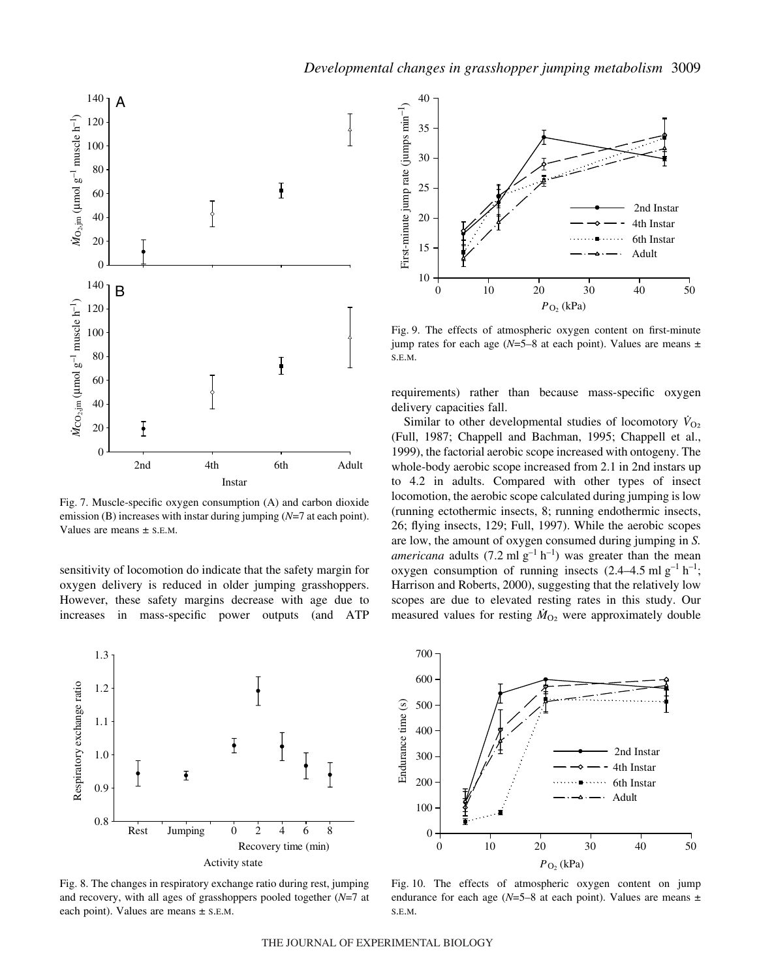

Fig. 7. Muscle-specific oxygen consumption (A) and carbon dioxide emission (B) increases with instar during jumping (*N*=7 at each point). Values are means ± S.E.M.

sensitivity of locomotion do indicate that the safety margin for oxygen delivery is reduced in older jumping grasshoppers. However, these safety margins decrease with age due to increases in mass-specific power outputs (and ATP







Fig. 9. The effects of atmospheric oxygen content on first-minute jump rates for each age ( $N=5-8$  at each point). Values are means  $\pm$ S.E.M.

requirements) rather than because mass-specific oxygen delivery capacities fall.

Similar to other developmental studies of locomotory  $\dot{V}_{O_2}$ (Full, 1987; Chappell and Bachman, 1995; Chappell et al., 1999), the factorial aerobic scope increased with ontogeny. The whole-body aerobic scope increased from 2.1 in 2nd instars up to 4.2 in adults. Compared with other types of insect locomotion, the aerobic scope calculated during jumping is low (running ectothermic insects, 8; running endothermic insects, 26; flying insects, 129; Full, 1997). While the aerobic scopes are low, the amount of oxygen consumed during jumping in *S. americana* adults (7.2 ml  $g^{-1}$  h<sup>-1</sup>) was greater than the mean oxygen consumption of running insects  $(2.4-4.5 \text{ ml g}^{-1} \text{ h}^{-1})$ ; Harrison and Roberts, 2000), suggesting that the relatively low scopes are due to elevated resting rates in this study. Our measured values for resting  $\dot{M}_{O<sub>2</sub>}$  were approximately double



Fig. 10. The effects of atmospheric oxygen content on jump endurance for each age  $(N=5-8$  at each point). Values are means  $\pm$ S.E.M.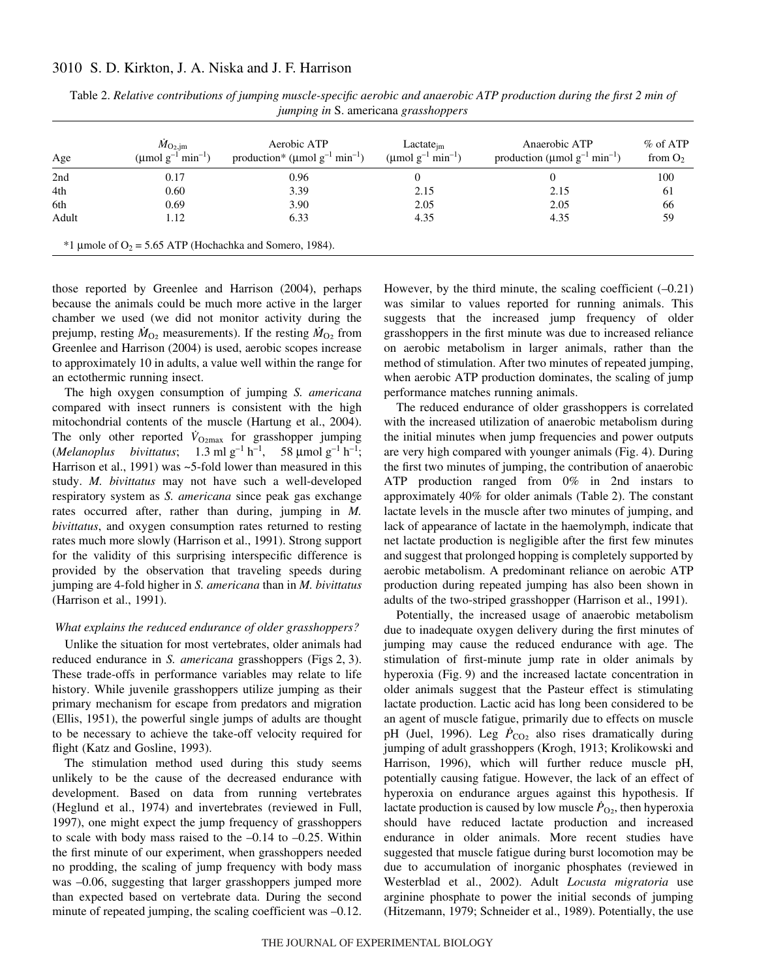# 3010 S. D. Kirkton, J. A. Niska and J. F. Harrison

| Age   | $\dot{M}_{\rm O_2,jm}$<br>(µmol $g^{-1}$ min <sup>-1</sup> ) | Aerobic ATP<br>production* ( $\mu$ mol g <sup>-1</sup> min <sup>-1</sup> ) | $Lactate_{im}$<br>(µmol $g^{-1}$ min <sup>-1</sup> ) | Anaerobic ATP<br>production (µmol $g^{-1}$ min <sup>-1</sup> ) | $%$ of ATP<br>from $O_2$ |
|-------|--------------------------------------------------------------|----------------------------------------------------------------------------|------------------------------------------------------|----------------------------------------------------------------|--------------------------|
| 2nd   | 0.17                                                         | 0.96                                                                       | $\Omega$                                             | 0                                                              | 100                      |
| 4th   | 0.60                                                         | 3.39                                                                       | 2.15                                                 | 2.15                                                           | 61                       |
| 6th   | 0.69                                                         | 3.90                                                                       | 2.05                                                 | 2.05                                                           | 66                       |
| Adult | 1.12                                                         | 6.33                                                                       | 4.35                                                 | 4.35                                                           | 59                       |
|       |                                                              | $*1$ µmole of O <sub>2</sub> = 5.65 ATP (Hochachka and Somero, 1984).      |                                                      |                                                                |                          |

Table 2. *Relative contributions of jumping muscle-specific aerobic and anaerobic ATP production during the first 2 min of jumping in* S. americana *grasshoppers*

those reported by Greenlee and Harrison (2004), perhaps because the animals could be much more active in the larger chamber we used (we did not monitor activity during the prejump, resting  $\dot{M}_{O_2}$  measurements). If the resting  $\dot{M}_{O_2}$  from Greenlee and Harrison (2004) is used, aerobic scopes increase to approximately 10 in adults, a value well within the range for an ectothermic running insect.

The high oxygen consumption of jumping *S. americana* compared with insect runners is consistent with the high mitochondrial contents of the muscle (Hartung et al., 2004). The only other reported  $V_{\text{O2max}}$  for grasshopper jumping (*Melanoplus bivittatus*;  $1.3 \text{ ml } g^{-1} h^{-1}$ ,  $58 \text{ µmol } g^{-1} h^{-1}$ ; Harrison et al., 1991) was ~5-fold lower than measured in this study. *M. bivittatus* may not have such a well-developed respiratory system as *S. americana* since peak gas exchange rates occurred after, rather than during, jumping in *M. bivittatus*, and oxygen consumption rates returned to resting rates much more slowly (Harrison et al., 1991). Strong support for the validity of this surprising interspecific difference is provided by the observation that traveling speeds during jumping are 4-fold higher in *S. americana* than in *M. bivittatus* (Harrison et al., 1991).

#### *What explains the reduced endurance of older grasshoppers?*

Unlike the situation for most vertebrates, older animals had reduced endurance in *S. americana* grasshoppers (Figs 2, 3). These trade-offs in performance variables may relate to life history. While juvenile grasshoppers utilize jumping as their primary mechanism for escape from predators and migration (Ellis, 1951), the powerful single jumps of adults are thought to be necessary to achieve the take-off velocity required for flight (Katz and Gosline, 1993).

The stimulation method used during this study seems unlikely to be the cause of the decreased endurance with development. Based on data from running vertebrates (Heglund et al., 1974) and invertebrates (reviewed in Full, 1997), one might expect the jump frequency of grasshoppers to scale with body mass raised to the  $-0.14$  to  $-0.25$ . Within the first minute of our experiment, when grasshoppers needed no prodding, the scaling of jump frequency with body mass was –0.06, suggesting that larger grasshoppers jumped more than expected based on vertebrate data. During the second minute of repeated jumping, the scaling coefficient was -0.12.

However, by the third minute, the scaling coefficient  $(-0.21)$ was similar to values reported for running animals. This suggests that the increased jump frequency of older grasshoppers in the first minute was due to increased reliance on aerobic metabolism in larger animals, rather than the method of stimulation. After two minutes of repeated jumping, when aerobic ATP production dominates, the scaling of jump performance matches running animals.

The reduced endurance of older grasshoppers is correlated with the increased utilization of anaerobic metabolism during the initial minutes when jump frequencies and power outputs are very high compared with younger animals (Fig. 4). During the first two minutes of jumping, the contribution of anaerobic ATP production ranged from 0% in 2nd instars to approximately 40% for older animals (Table 2). The constant lactate levels in the muscle after two minutes of jumping, and lack of appearance of lactate in the haemolymph, indicate that net lactate production is negligible after the first few minutes and suggest that prolonged hopping is completely supported by aerobic metabolism. A predominant reliance on aerobic ATP production during repeated jumping has also been shown in adults of the two-striped grasshopper (Harrison et al., 1991).

Potentially, the increased usage of anaerobic metabolism due to inadequate oxygen delivery during the first minutes of jumping may cause the reduced endurance with age. The stimulation of first-minute jump rate in older animals by hyperoxia (Fig. 9) and the increased lactate concentration in older animals suggest that the Pasteur effect is stimulating lactate production. Lactic acid has long been considered to be an agent of muscle fatigue, primarily due to effects on muscle pH (Juel, 1996). Leg  $\dot{P}_{CO_2}$  also rises dramatically during jumping of adult grasshoppers (Krogh, 1913; Krolikowski and Harrison, 1996), which will further reduce muscle pH, potentially causing fatigue. However, the lack of an effect of hyperoxia on endurance argues against this hypothesis. If lactate production is caused by low muscle  $\dot{P}_{O<sub>2</sub>}$ , then hyperoxia should have reduced lactate production and increased endurance in older animals. More recent studies have suggested that muscle fatigue during burst locomotion may be due to accumulation of inorganic phosphates (reviewed in Westerblad et al., 2002). Adult *Locusta migratoria* use arginine phosphate to power the initial seconds of jumping (Hitzemann, 1979; Schneider et al., 1989). Potentially, the use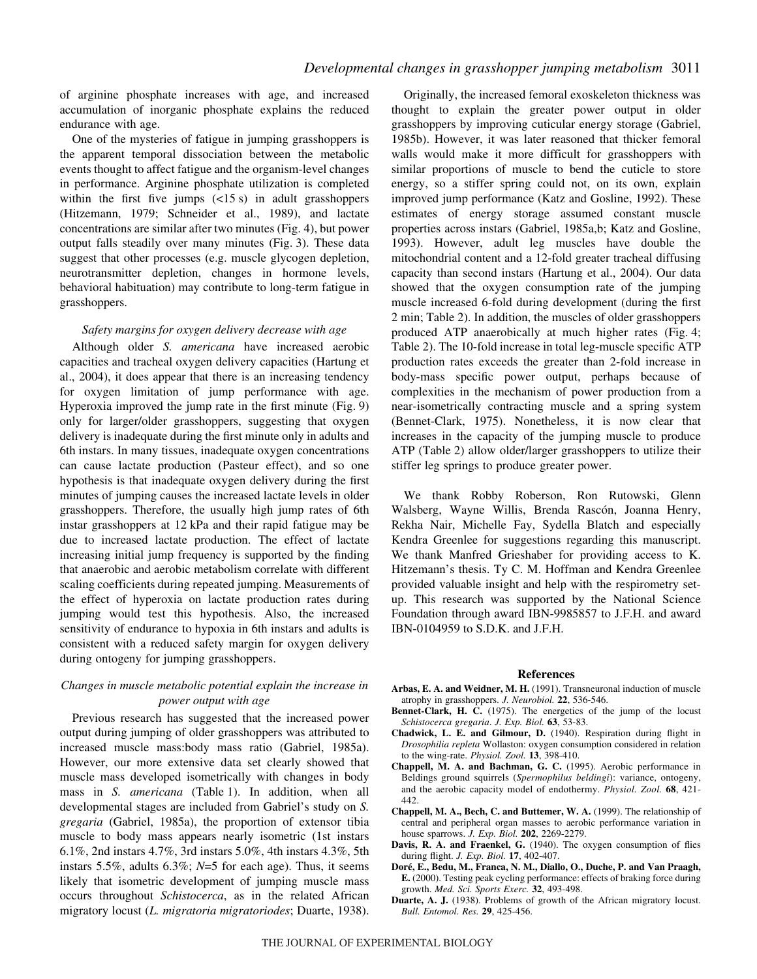of arginine phosphate increases with age, and increased accumulation of inorganic phosphate explains the reduced endurance with age.

One of the mysteries of fatigue in jumping grasshoppers is the apparent temporal dissociation between the metabolic events thought to affect fatigue and the organism-level changes in performance. Arginine phosphate utilization is completed within the first five jumps  $\left(\frac{15}{s}\right)$  in adult grasshoppers (Hitzemann, 1979; Schneider et al., 1989), and lactate concentrations are similar after two minutes (Fig. 4), but power output falls steadily over many minutes (Fig. 3). These data suggest that other processes (e.g. muscle glycogen depletion, neurotransmitter depletion, changes in hormone levels, behavioral habituation) may contribute to long-term fatigue in grasshoppers.

# *Safety margins for oxygen delivery decrease with age*

Although older *S. americana* have increased aerobic capacities and tracheal oxygen delivery capacities (Hartung et al., 2004), it does appear that there is an increasing tendency for oxygen limitation of jump performance with age. Hyperoxia improved the jump rate in the first minute (Fig. 9) only for larger/older grasshoppers, suggesting that oxygen delivery is inadequate during the first minute only in adults and 6th instars. In many tissues, inadequate oxygen concentrations can cause lactate production (Pasteur effect), and so one hypothesis is that inadequate oxygen delivery during the first minutes of jumping causes the increased lactate levels in older grasshoppers. Therefore, the usually high jump rates of 6th instar grasshoppers at 12 kPa and their rapid fatigue may be due to increased lactate production. The effect of lactate increasing initial jump frequency is supported by the finding that anaerobic and aerobic metabolism correlate with different scaling coefficients during repeated jumping. Measurements of the effect of hyperoxia on lactate production rates during jumping would test this hypothesis. Also, the increased sensitivity of endurance to hypoxia in 6th instars and adults is consistent with a reduced safety margin for oxygen delivery during ontogeny for jumping grasshoppers.

# *Changes in muscle metabolic potential explain the increase in power output with age*

Previous research has suggested that the increased power output during jumping of older grasshoppers was attributed to increased muscle mass:body mass ratio (Gabriel, 1985a). However, our more extensive data set clearly showed that muscle mass developed isometrically with changes in body mass in *S. americana* (Table 1). In addition, when all developmental stages are included from Gabriel's study on *S. gregaria* (Gabriel, 1985a), the proportion of extensor tibia muscle to body mass appears nearly isometric (1st instars 6.1%, 2nd instars 4.7%, 3rd instars 5.0%, 4th instars 4.3%, 5th instars 5.5%, adults 6.3%; *N*=5 for each age). Thus, it seems likely that isometric development of jumping muscle mass occurs throughout *Schistocerca*, as in the related African migratory locust (*L. migratoria migratoriodes*; Duarte, 1938).

Originally, the increased femoral exoskeleton thickness was thought to explain the greater power output in older grasshoppers by improving cuticular energy storage (Gabriel, 1985b). However, it was later reasoned that thicker femoral walls would make it more difficult for grasshoppers with similar proportions of muscle to bend the cuticle to store energy, so a stiffer spring could not, on its own, explain improved jump performance (Katz and Gosline, 1992). These estimates of energy storage assumed constant muscle properties across instars (Gabriel, 1985a,b; Katz and Gosline, 1993). However, adult leg muscles have double the mitochondrial content and a 12-fold greater tracheal diffusing capacity than second instars (Hartung et al., 2004). Our data showed that the oxygen consumption rate of the jumping muscle increased 6-fold during development (during the first 2 min; Table 2). In addition, the muscles of older grasshoppers produced ATP anaerobically at much higher rates (Fig. 4; Table 2). The 10-fold increase in total leg-muscle specific ATP production rates exceeds the greater than 2-fold increase in body-mass specific power output, perhaps because of complexities in the mechanism of power production from a near-isometrically contracting muscle and a spring system (Bennet-Clark, 1975). Nonetheless, it is now clear that increases in the capacity of the jumping muscle to produce ATP (Table 2) allow older/larger grasshoppers to utilize their stiffer leg springs to produce greater power.

We thank Robby Roberson, Ron Rutowski, Glenn Walsberg, Wayne Willis, Brenda Rascón, Joanna Henry, Rekha Nair, Michelle Fay, Sydella Blatch and especially Kendra Greenlee for suggestions regarding this manuscript. We thank Manfred Grieshaber for providing access to K. Hitzemann's thesis. Ty C. M. Hoffman and Kendra Greenlee provided valuable insight and help with the respirometry setup. This research was supported by the National Science Foundation through award IBN-9985857 to J.F.H. and award IBN-0104959 to S.D.K. and J.F.H.

#### **References**

- **Arbas, E. A. and Weidner, M. H.** (1991). Transneuronal induction of muscle atrophy in grasshoppers. *J. Neurobiol.* **22**, 536-546.
- **Bennet-Clark, H. C.** (1975). The energetics of the jump of the locust *Schistocerca gregaria*. *J. Exp. Biol.* **63**, 53-83.
- **Chadwick, L. E. and Gilmour, D.** (1940). Respiration during flight in *Drosophilia repleta* Wollaston: oxygen consumption considered in relation to the wing-rate. *Physiol. Zool.* **13**, 398-410.
- **Chappell, M. A. and Bachman, G. C.** (1995). Aerobic performance in Beldings ground squirrels (*Spermophilus beldingi*): variance, ontogeny, and the aerobic capacity model of endothermy. *Physiol. Zool.* **68**, 421- 442.
- **Chappell, M. A., Bech, C. and Buttemer, W. A.** (1999). The relationship of central and peripheral organ masses to aerobic performance variation in house sparrows. *J. Exp. Biol.* **202**, 2269-2279.
- **Davis, R. A. and Fraenkel, G.** (1940). The oxygen consumption of flies during flight. *J. Exp. Biol.* **17**, 402-407.
- **Doré, E., Bedu, M., Franca, N. M., Diallo, O., Duche, P. and Van Praagh, E.** (2000). Testing peak cycling performance: effects of braking force during growth. *Med. Sci. Sports Exerc.* **32**, 493-498.
- **Duarte, A. J.** (1938). Problems of growth of the African migratory locust. *Bull. Entomol. Res.* **29**, 425-456.